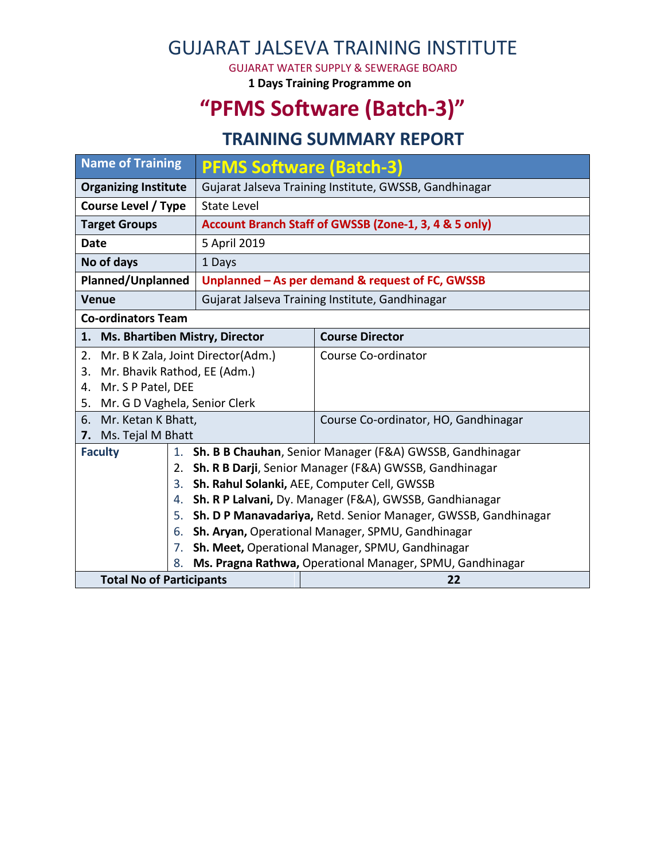## GUJARAT JALSEVA TRAINING INSTITUTE

GUJARAT WATER SUPPLY & SEWERAGE BOARD

**1 Days Training Programme on**

# **"PFMS Software (Batch-3)"**

#### **TRAINING SUMMARY REPORT**

| <b>Name of Training</b>                  |                                                                 | <b>PFMS Software (Batch-3)</b>                                 |                                      |  |  |  |
|------------------------------------------|-----------------------------------------------------------------|----------------------------------------------------------------|--------------------------------------|--|--|--|
| <b>Organizing Institute</b>              |                                                                 | Gujarat Jalseva Training Institute, GWSSB, Gandhinagar         |                                      |  |  |  |
| <b>Course Level / Type</b>               |                                                                 | <b>State Level</b>                                             |                                      |  |  |  |
| <b>Target Groups</b>                     |                                                                 | Account Branch Staff of GWSSB (Zone-1, 3, 4 & 5 only)          |                                      |  |  |  |
| <b>Date</b>                              |                                                                 | 5 April 2019                                                   |                                      |  |  |  |
| No of days                               |                                                                 | 1 Days                                                         |                                      |  |  |  |
| <b>Planned/Unplanned</b>                 |                                                                 | Unplanned - As per demand & request of FC, GWSSB               |                                      |  |  |  |
| <b>Venue</b>                             |                                                                 | Gujarat Jalseva Training Institute, Gandhinagar                |                                      |  |  |  |
| <b>Co-ordinators Team</b>                |                                                                 |                                                                |                                      |  |  |  |
| 1. Ms. Bhartiben Mistry, Director        |                                                                 |                                                                | <b>Course Director</b>               |  |  |  |
| Mr. B K Zala, Joint Director(Adm.)<br>2. |                                                                 |                                                                | Course Co-ordinator                  |  |  |  |
| Mr. Bhavik Rathod, EE (Adm.)<br>3.       |                                                                 |                                                                |                                      |  |  |  |
| Mr. S P Patel, DEE<br>4.                 |                                                                 |                                                                |                                      |  |  |  |
| Mr. G D Vaghela, Senior Clerk<br>5.      |                                                                 |                                                                |                                      |  |  |  |
| 6. Mr. Ketan K Bhatt,                    |                                                                 |                                                                | Course Co-ordinator, HO, Gandhinagar |  |  |  |
| Ms. Tejal M Bhatt<br>7.                  |                                                                 |                                                                |                                      |  |  |  |
| <b>Faculty</b>                           |                                                                 | 1. Sh. B B Chauhan, Senior Manager (F&A) GWSSB, Gandhinagar    |                                      |  |  |  |
|                                          | 2. Sh. R B Darji, Senior Manager (F&A) GWSSB, Gandhinagar       |                                                                |                                      |  |  |  |
|                                          | 3.                                                              | Sh. Rahul Solanki, AEE, Computer Cell, GWSSB                   |                                      |  |  |  |
|                                          | Sh. R P Lalvani, Dy. Manager (F&A), GWSSB, Gandhianagar<br>4.   |                                                                |                                      |  |  |  |
|                                          | 5.                                                              | Sh. D P Manavadariya, Retd. Senior Manager, GWSSB, Gandhinagar |                                      |  |  |  |
|                                          | 6.                                                              | Sh. Aryan, Operational Manager, SPMU, Gandhinagar              |                                      |  |  |  |
|                                          | Sh. Meet, Operational Manager, SPMU, Gandhinagar<br>7.          |                                                                |                                      |  |  |  |
|                                          | Ms. Pragna Rathwa, Operational Manager, SPMU, Gandhinagar<br>8. |                                                                |                                      |  |  |  |
| <b>Total No of Participants</b>          |                                                                 |                                                                | 22                                   |  |  |  |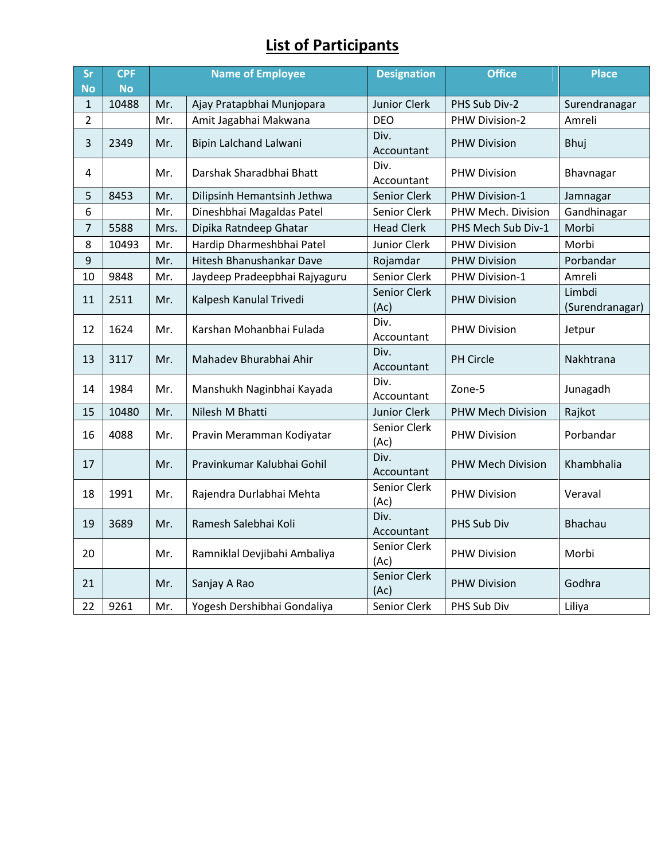## **List of Participants**

| Sr             | <b>CPF</b> | <b>Name of Employee</b> |                               | <b>Designation</b>   | <b>Office</b>            | <b>Place</b>              |
|----------------|------------|-------------------------|-------------------------------|----------------------|--------------------------|---------------------------|
| <b>No</b>      | <b>No</b>  |                         |                               |                      |                          |                           |
| $\mathbf{1}$   | 10488      | Mr.                     | Ajay Pratapbhai Munjopara     | Junior Clerk         | PHS Sub Div-2            | Surendranagar             |
| $\overline{2}$ |            | Mr.                     | Amit Jagabhai Makwana         | <b>DEO</b>           | PHW Division-2           | Amreli                    |
| 3              | 2349       | Mr.                     | Bipin Lalchand Lalwani        | Div.<br>Accountant   | <b>PHW Division</b>      | Bhuj                      |
| 4              |            | Mr.                     | Darshak Sharadbhai Bhatt      | Div.<br>Accountant   | <b>PHW Division</b>      | Bhavnagar                 |
| 5              | 8453       | Mr.                     | Dilipsinh Hemantsinh Jethwa   | Senior Clerk         | PHW Division-1           | Jamnagar                  |
| 6              |            | Mr.                     | Dineshbhai Magaldas Patel     | Senior Clerk         | PHW Mech. Division       | Gandhinagar               |
| 7              | 5588       | Mrs.                    | Dipika Ratndeep Ghatar        | <b>Head Clerk</b>    | PHS Mech Sub Div-1       | Morbi                     |
| 8              | 10493      | Mr.                     | Hardip Dharmeshbhai Patel     | Junior Clerk         | <b>PHW Division</b>      | Morbi                     |
| 9              |            | Mr.                     | Hitesh Bhanushankar Dave      | Rojamdar             | <b>PHW Division</b>      | Porbandar                 |
| 10             | 9848       | Mr.                     | Jaydeep Pradeepbhai Rajyaguru | Senior Clerk         | PHW Division-1           | Amreli                    |
| 11             | 2511       | Mr.                     | Kalpesh Kanulal Trivedi       | Senior Clerk<br>(Ac) | <b>PHW Division</b>      | Limbdi<br>(Surendranagar) |
| 12             | 1624       | Mr.                     | Karshan Mohanbhai Fulada      | Div.<br>Accountant   | <b>PHW Division</b>      | Jetpur                    |
| 13             | 3117       | Mr.                     | Mahadev Bhurabhai Ahir        | Div.<br>Accountant   | PH Circle                | Nakhtrana                 |
| 14             | 1984       | Mr.                     | Manshukh Naginbhai Kayada     | Div.<br>Accountant   | Zone-5                   | Junagadh                  |
| 15             | 10480      | Mr.                     | Nilesh M Bhatti               | Junior Clerk         | <b>PHW Mech Division</b> | Rajkot                    |
| 16             | 4088       | Mr.                     | Pravin Meramman Kodiyatar     | Senior Clerk<br>(Ac) | <b>PHW Division</b>      | Porbandar                 |
| 17             |            | Mr.                     | Pravinkumar Kalubhai Gohil    | Div.<br>Accountant   | <b>PHW Mech Division</b> | Khambhalia                |
| 18             | 1991       | Mr.                     | Rajendra Durlabhai Mehta      | Senior Clerk<br>(Ac) | <b>PHW Division</b>      | Veraval                   |
| 19             | 3689       | Mr.                     | Ramesh Salebhai Koli          | Div.<br>Accountant   | PHS Sub Div              | <b>Bhachau</b>            |
| 20             |            | Mr.                     | Ramniklal Devjibahi Ambaliya  | Senior Clerk<br>(Ac) | <b>PHW Division</b>      | Morbi                     |
| 21             |            | Mr.                     | Sanjay A Rao                  | Senior Clerk<br>(Ac) | <b>PHW Division</b>      | Godhra                    |
| 22             | 9261       | Mr.                     | Yogesh Dershibhai Gondaliya   | Senior Clerk         | PHS Sub Div              | Liliya                    |